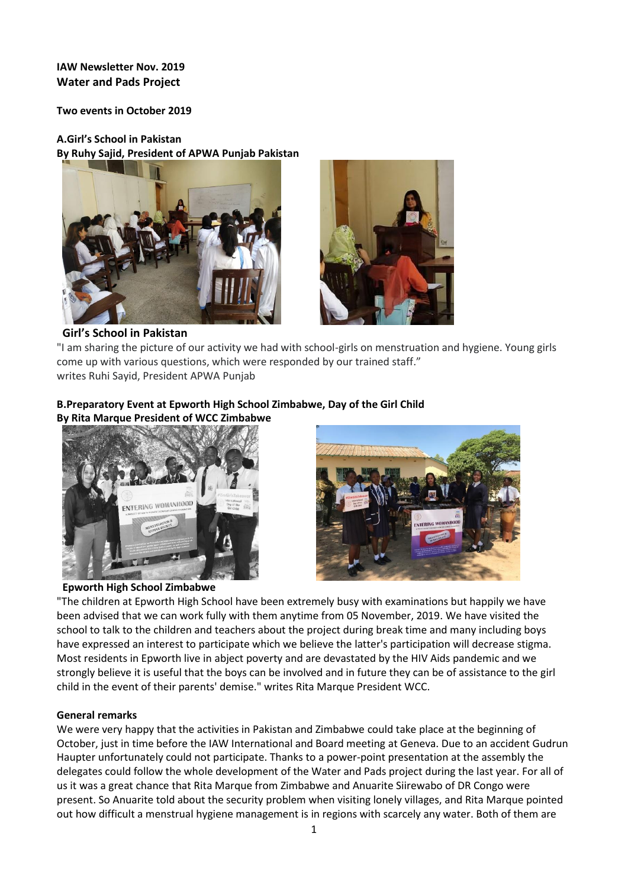# **IAW Newsletter Nov. 2019 Water and Pads Project**

**Two events in October 2019**

**A.Girl's School in Pakistan**

**By Ruhy Sajid, President of APWA Punjab Pakistan** 





## **Girl's School in Pakistan**

"I am sharing the picture of our activity we had with school-girls on menstruation and hygiene. Young girls come up with various questions, which were responded by our trained staff." writes Ruhi Sayid, President APWA Punjab

## **B.Preparatory Event at Epworth High School Zimbabwe, Day of the Girl Child By Rita Marque President of WCC Zimbabwe**





## **Epworth High School Zimbabwe**

"The children at Epworth High School have been extremely busy with examinations but happily we have been advised that we can work fully with them anytime from 05 November, 2019. We have visited the school to talk to the children and teachers about the project during break time and many including boys have expressed an interest to participate which we believe the latter's participation will decrease stigma. Most residents in Epworth live in abject poverty and are devastated by the HIV Aids pandemic and we strongly believe it is useful that the boys can be involved and in future they can be of assistance to the girl child in the event of their parents' demise." writes Rita Marque President WCC.

## **General remarks**

We were very happy that the activities in Pakistan and Zimbabwe could take place at the beginning of October, just in time before the IAW International and Board meeting at Geneva. Due to an accident Gudrun Haupter unfortunately could not participate. Thanks to a power-point presentation at the assembly the delegates could follow the whole development of the Water and Pads project during the last year. For all of us it was a great chance that Rita Marque from Zimbabwe and Anuarite Siirewabo of DR Congo were present. So Anuarite told about the security problem when visiting lonely villages, and Rita Marque pointed out how difficult a menstrual hygiene management is in regions with scarcely any water. Both of them are